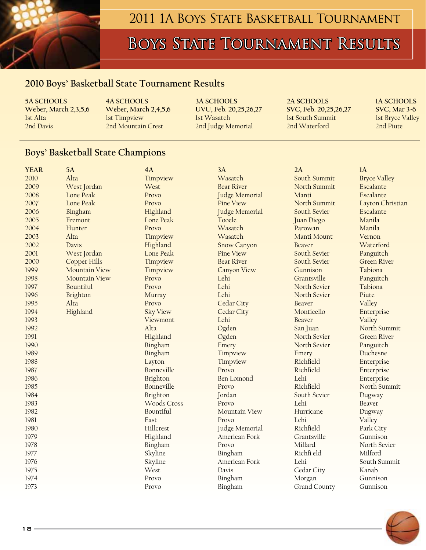

### 2011 1A BOYS STATE BASKETBALL TOURNAMENT

# BOYS STATE TOURNAMENT RESULTS

#### **2010 Boys' Basketball State Tournament Results**

**5A SCHOOLS 4A SCHOOLS 3A SCHOOLS 2A SCHOOLS 1A SCHOOLS Weber, March 2,3,5,6 Weber, March 2,4,5,6 UVU, Feb. 20,25,26,27 SVC, Feb. 20,25,26,27 SVC, Mar 3-6**<br>Ist Alta lst Timpyiew Ist Wasatch Ist South Summit Ist Bryce Valley 1st Timpview 1st Wasatch 1st South Summit 1st Bryce Valley 2nd Davis 2nd Mountain Crest 2nd Judge Memorial 2nd Waterford 2nd Piute

#### **Boys' Basketball State Champions**

| <b>YEAR</b> | 5A                   | 4A                 | 3A                 | 2A            | 1A                  |
|-------------|----------------------|--------------------|--------------------|---------------|---------------------|
| 2010        | Alta                 | Timpview           | Wasatch            | South Summit  | <b>Bryce Valley</b> |
| 2009        | West Jordan          | West               | <b>Bear River</b>  | North Summit  | Escalante           |
| 2008        | Lone Peak            | Provo              | Judge Memorial     | Manti         | Escalante           |
| 2007        | Lone Peak            | Provo              | <b>Pine View</b>   | North Summit  | Layton Christian    |
| 2006        | Bingham              | Highland           | Judge Memorial     | South Sevier  | Escalante           |
| 2005        | Fremont              | Lone Peak          | Tooele             | Juan Diego    | Manila              |
| 2004        | Hunter               | Provo              | Wasatch            | Parowan       | Manila              |
| 2003        | Alta                 | Timpview           | Wasatch            | Manti Mount   | Vernon              |
| 2002        | Davis                | Highland           | <b>Snow Canyon</b> | <b>Beaver</b> | Waterford           |
| 2001        | West Jordan          | Lone Peak          | Pine View          | South Sevier  | Panguitch           |
| 2000        | Copper Hills         | Timpview           | <b>Bear River</b>  | South Sevier  | <b>Green River</b>  |
| 1999        | <b>Mountain View</b> | Timpview           | <b>Canyon View</b> | Gunnison      | Tabiona             |
| 1998        | <b>Mountain View</b> | Provo              | Lehi               | Grantsville   | Panguitch           |
| 1997        | Bountiful            | Provo              | Lehi               | North Sevier  | Tabiona             |
| 1996        | Brighton             | Murray             | Lehi               | North Sevier  | Piute               |
| 1995        | Alta                 | Provo              | Cedar City         | Beaver        | Valley              |
| 1994        | Highland             | <b>Sky View</b>    | Cedar City         | Monticello    | Enterprise          |
| 1993        |                      | Viewmont           | Lehi               | Beaver        | Valley              |
| 1992        |                      | Alta               | Ogden              | San Juan      | North Summit        |
| 1991        |                      | Highland           | Ogden              | North Sevier  | <b>Green River</b>  |
| 1990        |                      | Bingham            | Emery              | North Sevier  | Panguitch           |
| 1989        |                      | Bingham            | Timpview           | Emery         | Duchesne            |
| 1988        |                      | Layton             | Timpview           | Richfield     | Enterprise          |
| 1987        |                      | Bonneville         | Provo              | Richfield     | Enterprise          |
| 1986        |                      | Brighton           | Ben Lomond         | Lehi          | Enterprise          |
| 1985        |                      | Bonneville         | Provo              | Richfield     | North Summit        |
| 1984        |                      | Brighton           | Jordan             | South Sevier  | Dugway              |
| 1983        |                      | <b>Woods Cross</b> | Provo              | Lehi          | Beaver              |
| 1982        |                      | Bountiful          | Mountain View      | Hurricane     | Dugway              |
| 1981        |                      | East               | Provo              | Lehi          | Valley              |
| 1980        |                      | Hillcrest          | Judge Memorial     | Richfield     | Park City           |
| 1979        |                      | Highland           | American Fork      | Grantsville   | Gunnison            |
| 1978        |                      | Bingham            | Provo              | Millard       | North Sevier        |
| 1977        |                      | Skyline            | Bingham            | Richfi eld    | Milford             |
| 1976        |                      | Skyline            | American Fork      | Lehi          | South Summit        |
| 1975        |                      | West               | Davis              | Cedar City    | Kanab               |
| 1974        |                      | Provo              | Bingham            | Morgan        | Gunnison            |
| 1973        |                      | Provo              | Bingham            | Grand County  | Gunnison            |

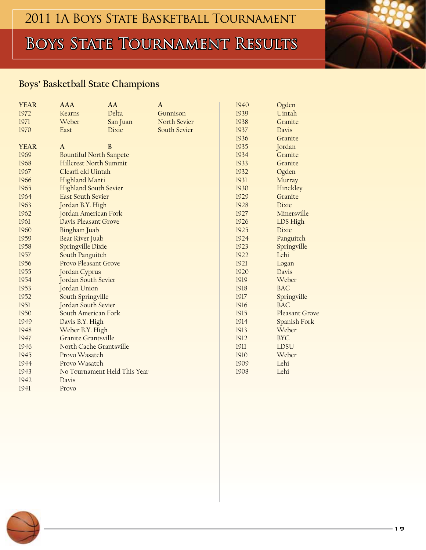# BOYS STATE TOURNAMENT RESULTS

### **Boys' Basketball State Champions**

| <b>YEAR</b> | <b>AAA</b>                     | AA       | A            | 1940 | Ogden          |
|-------------|--------------------------------|----------|--------------|------|----------------|
| 1972        | Kearns                         | Delta    | Gunnison     | 1939 | Uintah         |
| 1971        | Weber                          | San Juan | North Sevier | 1938 | Granite        |
| 1970        | East                           | Dixie    | South Sevier | 1937 | Davis          |
|             |                                |          |              | 1936 | Granite        |
| <b>YEAR</b> | A                              | $\bf{B}$ |              | 1935 | Jordan         |
| 1969        | <b>Bountiful North Sanpete</b> |          |              | 1934 | Granite        |
| 1968        | <b>Hillcrest North Summit</b>  |          |              | 1933 | Granite        |
| 1967        | Clearfi eld Uintah             |          |              | 1932 | Ogden          |
| 1966        | Highland Manti                 |          |              | 1931 | Murray         |
| 1965        | <b>Highland South Sevier</b>   |          |              | 1930 | Hinckley       |
| 1964        | <b>East South Sevier</b>       |          |              | 1929 | Granite        |
| 1963        | Jordan B.Y. High               |          |              | 1928 | Dixie          |
| 1962        | Jordan American Fork           |          |              | 1927 | Minersville    |
| 1961        | Davis Pleasant Grove           |          |              | 1926 | LDS High       |
| 1960        | Bingham Juab                   |          |              | 1925 | Dixie          |
| 1959        | Bear River Juab                |          |              | 1924 | Panguitch      |
| 1958        | Springville Dixie              |          |              | 1923 | Springville    |
| 1957        | South Panguitch                |          |              | 1922 | Lehi           |
| 1956        | Provo Pleasant Grove           |          |              | 1921 | Logan          |
| 1955        | Jordan Cyprus                  |          |              | 1920 | Davis          |
| 1954        | Jordan South Sevier            |          |              | 1919 | Weber          |
| 1953        | Jordan Union                   |          |              | 1918 | <b>BAC</b>     |
| 1952        | South Springville              |          |              | 1917 | Springville    |
| 1951        | Jordan South Sevier            |          |              | 1916 | <b>BAC</b>     |
| 1950        | South American Fork            |          |              | 1915 | Pleasant Grove |
| 1949        | Davis B.Y. High                |          |              | 1914 | Spanish Fork   |
| 1948        | Weber B.Y. High                |          |              | 1913 | Weber          |
| 1947        | Granite Grantsville            |          |              | 1912 | <b>BYC</b>     |
| 1946        | North Cache Grantsville        |          |              | 1911 | <b>LDSU</b>    |
| 1945        | Provo Wasatch                  |          |              | 1910 | Weber          |
| 1944        | Provo Wasatch                  |          |              | 1909 | Lehi           |
| 1943        | No Tournament Held This Year   |          |              | 1908 | Lehi           |
| 1942        | Davis                          |          |              |      |                |
| 1941        | Provo                          |          |              |      |                |



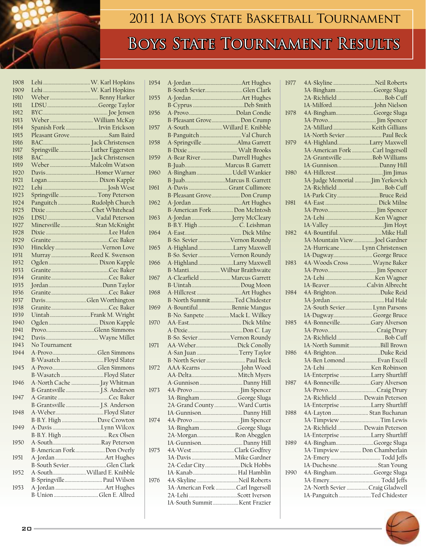

## 2011 1A BOYS STATE BASKETBALL TOURNAMENT

# BOYS STATE TOURNAMENT RESULTS

| 1908 |               |                               |
|------|---------------|-------------------------------|
| 1909 |               |                               |
| 1910 |               |                               |
| 1911 |               |                               |
| 1912 |               |                               |
| 1913 |               | Weber  William McKay          |
| 1914 |               | Spanish Fork Irvin Erickson   |
| 1915 |               | Pleasant Grove Sam Baird      |
| 1916 |               |                               |
| 1917 |               | Springville  Luther Eggersten |
| 1918 |               |                               |
| 1919 |               |                               |
| 1920 |               |                               |
| 1921 |               |                               |
| 1922 |               |                               |
| 1923 |               | Springville Tony Peterson     |
| 1924 |               | Panguitch Rudolph Church      |
| 1925 |               | Dixie Chet Whitehead          |
| 1926 |               |                               |
| 1927 |               | MinersvilleStan McKnight      |
| 1928 |               |                               |
| 1929 |               |                               |
| 1930 |               | HinckleyVernon Love           |
| 1931 |               | Murray Reed K. Swenson        |
| 1932 |               |                               |
| 1933 |               |                               |
| 1934 |               |                               |
| 1935 |               |                               |
| 1936 |               |                               |
| 1937 |               | DavisGlen Worthington         |
| 1938 |               |                               |
| 1939 |               | Uintah Frank M. Wright        |
| 1940 |               |                               |
| 1941 |               |                               |
| 1942 |               |                               |
| 1943 | No Tournament |                               |
| 1944 |               | A-ProvoGlen Simmons           |
|      |               | B-Wasatch  Floyd Slater       |
| 1945 |               | A-ProvoGlen Simmons           |
|      |               | B-WasatchFloyd Slater         |
| 1946 |               | A-North Cache  Jay Whitman    |
|      |               | B-Grantsville  J.S. Anderson  |
| 1947 |               |                               |
|      |               | B-Grantsville  J.S. Anderson  |
| 1948 |               |                               |
|      |               | B-B.Y. High  Dave Crowton     |
| 1949 |               |                               |
|      |               | B-B.Y. High  Rex Olsen        |
| 1950 |               |                               |
|      |               | B-American ForkDon Overly     |
| 1951 |               |                               |
|      |               | B-South SevierGlen Clark      |
| 1952 |               | A-South Willard E. Knibble    |
|      |               | B-Springville Paul Wilson     |
| 1953 |               |                               |
|      |               | B-Union Glen E. Allred        |
|      |               |                               |

| 1954 | B-South SevierGlen Clark                                 |
|------|----------------------------------------------------------|
| 1955 |                                                          |
| 1956 |                                                          |
| 1957 | B-Pleasant Grove Don Crump<br>A-South Willard E. Knibble |
| 1958 | B-Panguitch  Val Church<br>A-Springville Alma Garrett    |
|      |                                                          |
| 1959 | A-Bear River  Darrell Hughes<br>B-JuabMarcus B. Garrett  |
| 1960 | A-Bingham  Udell Wankier                                 |
| 1961 | B-JuabMarcus B. Garrett<br>A-Davis  Grant Cullimore      |
| 1962 | B-Pleasant GroveDon Crump                                |
|      | B-American Fork Don McIntosh                             |
| 1963 | A-Jordan Jerry McCleary                                  |
| 1964 |                                                          |
| 1965 | B-So. Sevier Vernon Roundy<br>A-HighlandLarry Maxwell    |
|      | B-So. Sevier Vernon Roundy                               |
| 1966 | A-HighlandLarry Maxwell<br>B-Manti Wilbur Braithwaite    |
| 1967 | A-Clearfield  Marcus Garrett                             |
| 1968 |                                                          |
| 1969 | B-North SummitTed Chidester<br>A-BountifulBennie Mangus  |
|      | B-No. Sanpete  Mack L. Wilkey                            |
| 1970 |                                                          |
|      | B-So. Sevier Vernon Roundy                               |
| 1971 | AA-WeberDick Conolly<br>A-San Juan Terry Taylor          |
|      | B-North Sevier  Paul Beck                                |
| 1972 | AA-Delta Mitch Myers                                     |
| 1973 | A-Gunnison Danny Hill                                    |
|      | 3A-Bingham George Sluga                                  |
|      | 2A-Grand County  Ward Curtis<br>1A-GunnisonDanny Hill    |
| 1974 |                                                          |
|      | 3A-Bingham George Sluga<br>2A-Morgan Ron Abegglen        |
| 1975 | 1A-GunnisonDanny Hill                                    |
|      | 4A-WestClark Godfrey<br>3A-Davis  Mike Gardner           |
|      | 2A-Cedar CityDick Hobbs<br>1A-Kanab  Hal Hamblin         |
| 1976 | 4A-Skyline Neil Roberts                                  |
|      | 3A-American Fork Carl Ingersoll<br>2A-Lehi Scott Iverson |
|      | 1A-South Summit Kent Frazier                             |
|      |                                                          |

| 1977 | 4A-Skyline Neil Roberts          |  |
|------|----------------------------------|--|
|      | 3A-Bingham George Sluga          |  |
|      |                                  |  |
|      |                                  |  |
| 1978 | 4A-BinghamGeorge Sluga           |  |
|      |                                  |  |
|      | 2A-Millard  Keith Gillians       |  |
|      | 1A-North Sevier  Paul Beck       |  |
| 1979 | 4A-HighlandLarry Maxwell         |  |
|      | 3A-American Fork Carl Ingersoll  |  |
|      | 2A-Grantsville Bob Williams      |  |
|      | 1A-GunnisonDanny Hill            |  |
| 1980 |                                  |  |
|      | 3A-Judge Memorial  Jim Yerkovich |  |
|      |                                  |  |
|      | 1A-Park City  Bruce Reid         |  |
| 1981 |                                  |  |
|      |                                  |  |
|      |                                  |  |
|      |                                  |  |
| 1982 |                                  |  |
|      | 3A-Mountain ViewJoel Gardner     |  |
|      | 2A-Hurricane Lynn Christensen    |  |
|      | 1A-Dugway George Bruce           |  |
| 1983 | 4A-Woods Cross  Wayne Baker      |  |
|      |                                  |  |
|      |                                  |  |
|      | 1A-BeaverCalvin Albrecht         |  |
| 1984 |                                  |  |
|      |                                  |  |
|      | 2A-South Sevier Lynn Parsons     |  |
|      | 1A-Dugway George Bruce           |  |
| 1985 | 4A-BonnevilleGary Alverson       |  |
|      |                                  |  |
|      |                                  |  |
|      | 1A-North SummitBill Brown        |  |
| 1986 |                                  |  |
|      | 3A-Ben Lomond Evan Excell        |  |
|      |                                  |  |
|      | 1A-Enterprise Larry Shurtliff    |  |
| 1987 | 4A-BonnevilleGary Alverson       |  |
|      |                                  |  |
|      | 2A-Richfield  Dewain Peterson    |  |
|      | 1A-Enterprise Larry Shurtliff    |  |
| 1988 | 4A-Layton  Stan Buchanan         |  |
|      | 3A-Timpview Tim Lewis            |  |
|      | 2A-Richfield  Dewain Peterson    |  |
|      | 1A-Enterprise Larry Shurtliff    |  |
| 1989 | 4A-BinghamGeorge Sluga           |  |
|      | 3A-Timpview  Don Chamberlain     |  |
|      |                                  |  |
|      | 1A-DuchesneStan Young            |  |
| 1990 | 4A-BinghamGeorge Sluga           |  |
|      |                                  |  |
|      | 2A-North Sevier Craig Gladwell   |  |
|      | 1A-PanguitchTed Chidester        |  |